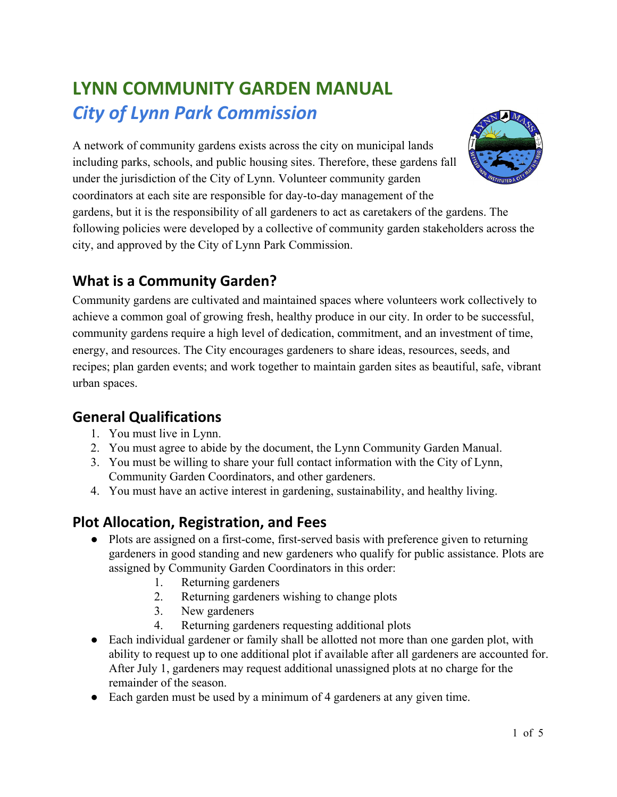# **LYNN COMMUNITY GARDEN MANUAL** *City of Lynn Park Commission*

A network of community gardens exists across the city on municipal lands including parks, schools, and public housing sites. Therefore, these gardens fall under the jurisdiction of the City of Lynn. Volunteer community garden coordinators at each site are responsible for day-to-day management of the gardens, but it is the responsibility of all gardeners to act as caretakers of the gardens. The following policies were developed by a collective of community garden stakeholders across the city, and approved by the City of Lynn Park Commission.



### **What is a Community Garden?**

Community gardens are cultivated and maintained spaces where volunteers work collectively to achieve a common goal of growing fresh, healthy produce in our city. In order to be successful, community gardens require a high level of dedication, commitment, and an investment of time, energy, and resources. The City encourages gardeners to share ideas, resources, seeds, and recipes; plan garden events; and work together to maintain garden sites as beautiful, safe, vibrant urban spaces.

### **General Qualifications**

- 1. You must live in Lynn.
- 2. You must agree to abide by the document, the Lynn Community Garden Manual.
- 3. You must be willing to share your full contact information with the City of Lynn, Community Garden Coordinators, and other gardeners.
- 4. You must have an active interest in gardening, sustainability, and healthy living.

### **Plot Allocation, Registration, and Fees**

- Plots are assigned on a first-come, first-served basis with preference given to returning gardeners in good standing and new gardeners who qualify for public assistance. Plots are assigned by Community Garden Coordinators in this order:
	- 1. Returning gardeners
	- 2. Returning gardeners wishing to change plots
	- 3. New gardeners
	- 4. Returning gardeners requesting additional plots
- Each individual gardener or family shall be allotted not more than one garden plot, with ability to request up to one additional plot if available after all gardeners are accounted for. After July 1, gardeners may request additional unassigned plots at no charge for the remainder of the season.
- Each garden must be used by a minimum of 4 gardeners at any given time.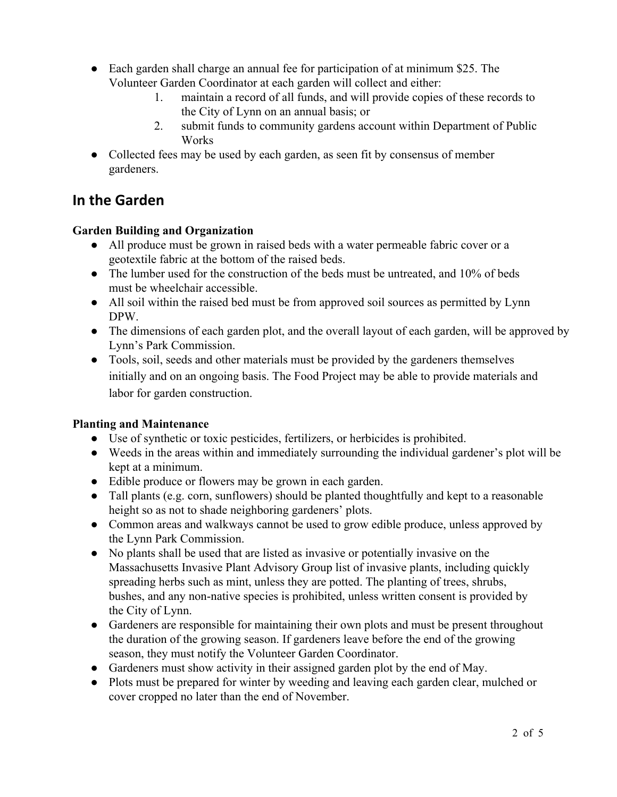- Each garden shall charge an annual fee for participation of at minimum \$25. The Volunteer Garden Coordinator at each garden will collect and either:
	- 1. maintain a record of all funds, and will provide copies of these records to the City of Lynn on an annual basis; or
	- 2. submit funds to community gardens account within Department of Public **Works**
- Collected fees may be used by each garden, as seen fit by consensus of member gardeners.

# **In the Garden**

### **Garden Building and Organization**

- All produce must be grown in raised beds with a water permeable fabric cover or a geotextile fabric at the bottom of the raised beds.
- The lumber used for the construction of the beds must be untreated, and 10% of beds must be wheelchair accessible.
- All soil within the raised bed must be from approved soil sources as permitted by Lynn DPW.
- The dimensions of each garden plot, and the overall layout of each garden, will be approved by Lynn's Park Commission.
- Tools, soil, seeds and other materials must be provided by the gardeners themselves initially and on an ongoing basis. The Food Project may be able to provide materials and labor for garden construction.

### **Planting and Maintenance**

- Use of synthetic or toxic pesticides, fertilizers, or herbicides is prohibited.
- Weeds in the areas within and immediately surrounding the individual gardener's plot will be kept at a minimum.
- Edible produce or flowers may be grown in each garden.
- Tall plants (e.g. corn, sunflowers) should be planted thoughtfully and kept to a reasonable height so as not to shade neighboring gardeners' plots.
- Common areas and walkways cannot be used to grow edible produce, unless approved by the Lynn Park Commission.
- No plants shall be used that are listed as invasive or potentially invasive on the Massachusetts Invasive Plant Advisory Group list of invasive plants, including quickly spreading herbs such as mint, unless they are potted. The planting of trees, shrubs, bushes, and any non-native species is prohibited, unless written consent is provided by the City of Lynn.
- Gardeners are responsible for maintaining their own plots and must be present throughout the duration of the growing season. If gardeners leave before the end of the growing season, they must notify the Volunteer Garden Coordinator.
- Gardeners must show activity in their assigned garden plot by the end of May.
- Plots must be prepared for winter by weeding and leaving each garden clear, mulched or cover cropped no later than the end of November.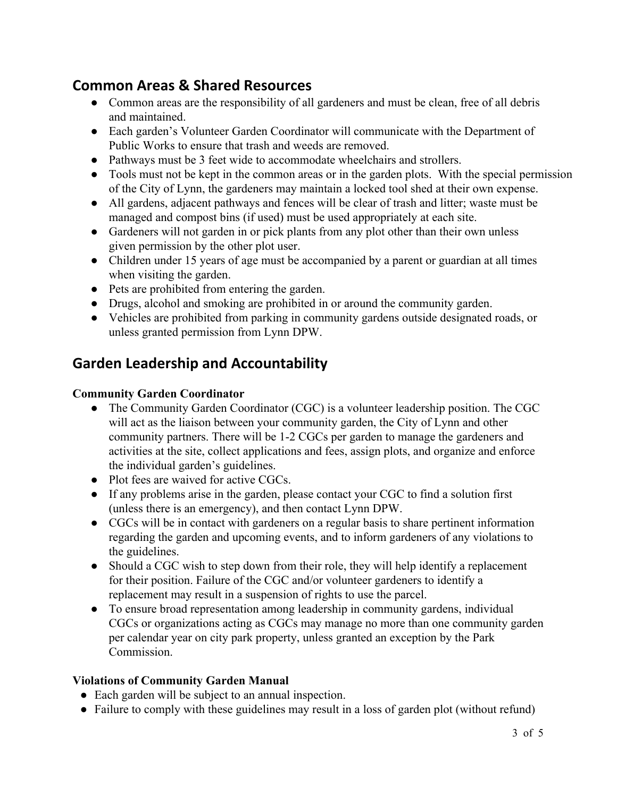### **Common Areas & Shared Resources**

- Common areas are the responsibility of all gardeners and must be clean, free of all debris and maintained.
- Each garden's Volunteer Garden Coordinator will communicate with the Department of Public Works to ensure that trash and weeds are removed.
- Pathways must be 3 feet wide to accommodate wheelchairs and strollers.
- Tools must not be kept in the common areas or in the garden plots. With the special permission of the City of Lynn, the gardeners may maintain a locked tool shed at their own expense.
- All gardens, adjacent pathways and fences will be clear of trash and litter; waste must be managed and compost bins (if used) must be used appropriately at each site.
- Gardeners will not garden in or pick plants from any plot other than their own unless given permission by the other plot user.
- Children under 15 years of age must be accompanied by a parent or guardian at all times when visiting the garden.
- Pets are prohibited from entering the garden.
- Drugs, alcohol and smoking are prohibited in or around the community garden.
- Vehicles are prohibited from parking in community gardens outside designated roads, or unless granted permission from Lynn DPW.

# **Garden Leadership and Accountability**

### **Community Garden Coordinator**

- The Community Garden Coordinator (CGC) is a volunteer leadership position. The CGC will act as the liaison between your community garden, the City of Lynn and other community partners. There will be 1-2 CGCs per garden to manage the gardeners and activities at the site, collect applications and fees, assign plots, and organize and enforce the individual garden's guidelines.
- Plot fees are waived for active CGCs.
- If any problems arise in the garden, please contact your CGC to find a solution first (unless there is an emergency), and then contact Lynn DPW.
- CGCs will be in contact with gardeners on a regular basis to share pertinent information regarding the garden and upcoming events, and to inform gardeners of any violations to the guidelines.
- Should a CGC wish to step down from their role, they will help identify a replacement for their position. Failure of the CGC and/or volunteer gardeners to identify a replacement may result in a suspension of rights to use the parcel.
- To ensure broad representation among leadership in community gardens, individual CGCs or organizations acting as CGCs may manage no more than one community garden per calendar year on city park property, unless granted an exception by the Park **Commission**

### **Violations of Community Garden Manual**

- Each garden will be subject to an annual inspection.
- Failure to comply with these guidelines may result in a loss of garden plot (without refund)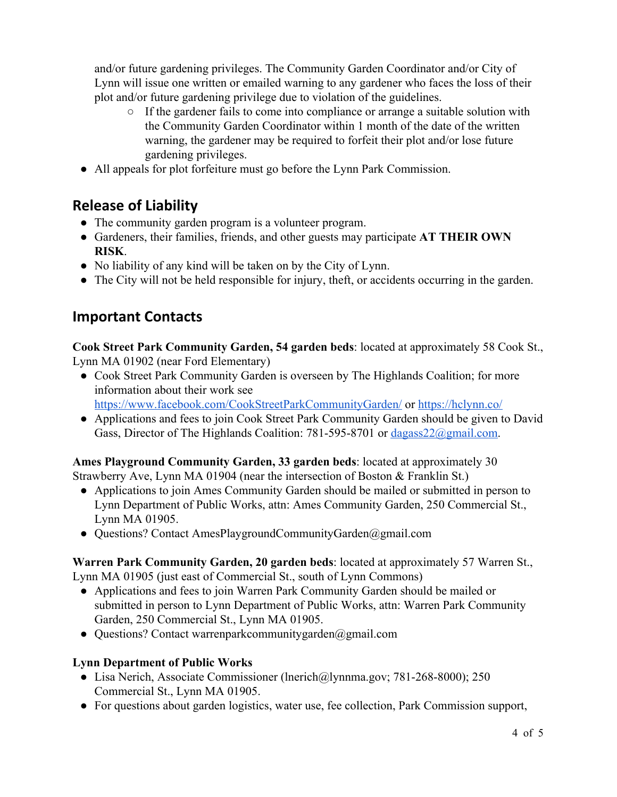and/or future gardening privileges. The Community Garden Coordinator and/or City of Lynn will issue one written or emailed warning to any gardener who faces the loss of their plot and/or future gardening privilege due to violation of the guidelines.

- If the gardener fails to come into compliance or arrange a suitable solution with the Community Garden Coordinator within 1 month of the date of the written warning, the gardener may be required to forfeit their plot and/or lose future gardening privileges.
- All appeals for plot forfeiture must go before the Lynn Park Commission.

# **Release of Liability**

- The community garden program is a volunteer program.
- Gardeners, their families, friends, and other guests may participate **AT THEIR OWN RISK**.
- No liability of any kind will be taken on by the City of Lynn.
- The City will not be held responsible for injury, theft, or accidents occurring in the garden.

# **Important Contacts**

**Cook Street Park Community Garden, 54 garden beds**: located at approximately 58 Cook St., Lynn MA 01902 (near Ford Elementary)

- Cook Street Park Community Garden is overseen by The Highlands Coalition; for more information about their work see <https://www.facebook.com/CookStreetParkCommunityGarden/> or<https://hclynn.co/>
- Applications and fees to join Cook Street Park Community Garden should be given to David Gass, Director of The Highlands Coalition: 781-595-8701 or [dagass22@gmail.com](mailto:dagass22@gmail.com).

#### **Ames Playground Community Garden, 33 garden beds**: located at approximately 30 Strawberry Ave, Lynn MA 01904 (near the intersection of Boston & Franklin St.)

- Applications to join Ames Community Garden should be mailed or submitted in person to Lynn Department of Public Works, attn: Ames Community Garden, 250 Commercial St., Lynn MA 01905.
- Questions? Contact [AmesPlaygroundCommunityGarden@gmail.com](mailto:AmesPlaygroundCommunityGarden@gmail.com)

**Warren Park Community Garden, 20 garden beds**: located at approximately 57 Warren St., Lynn MA 01905 (just east of Commercial St., south of Lynn Commons)

- Applications and fees to join Warren Park Community Garden should be mailed or submitted in person to Lynn Department of Public Works, attn: Warren Park Community Garden, 250 Commercial St., Lynn MA 01905.
- Questions? Contact [warrenparkcommunitygarden@gmail.com](mailto:warrenparkcommunitygarden@gmail.com)

### **Lynn Department of Public Works**

- Lisa Nerich, Associate Commissioner ([lnerich@lynnma.gov](mailto:lnerich@lynnma.gov); 781-268-8000); 250 Commercial St., Lynn MA 01905.
- For questions about garden logistics, water use, fee collection, Park Commission support,